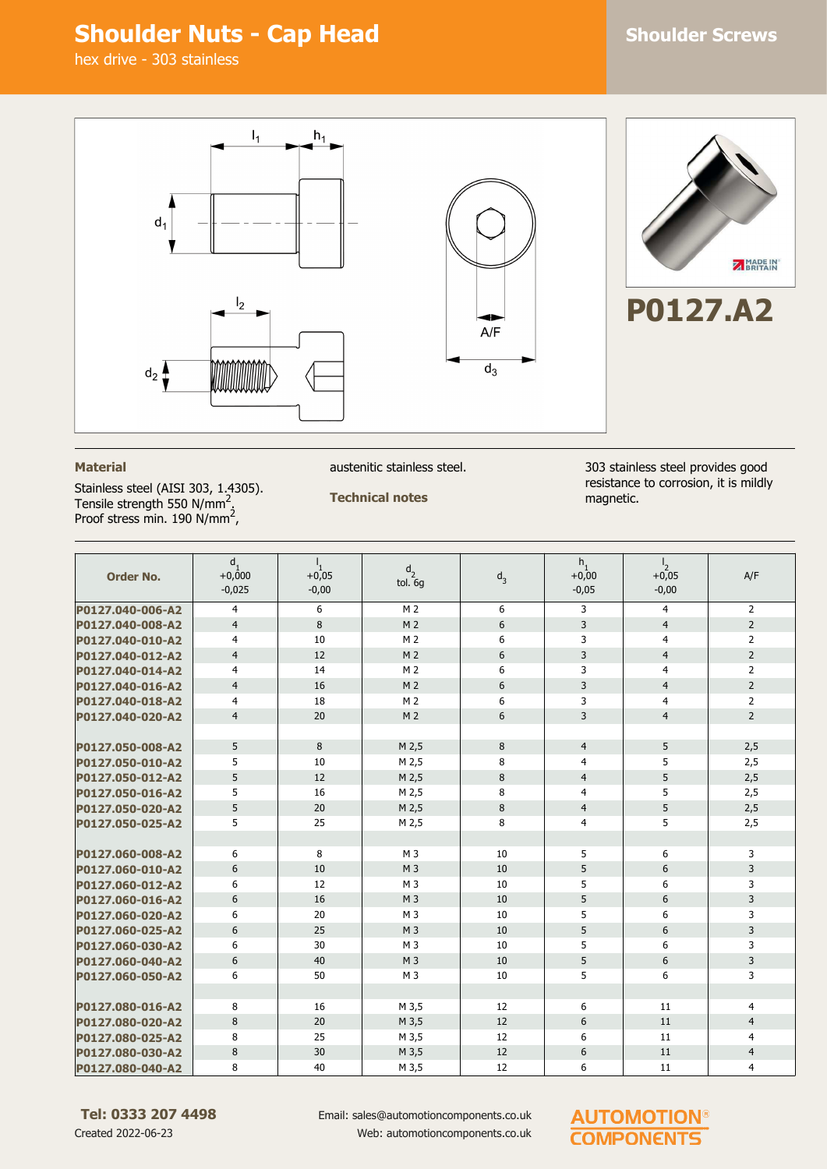## **Shoulder Nuts - Cap Head Shoulder Screws**



#### **Material**

Stainless steel (AISI 303, 1.4305). Tensile strength 550 N/mm<sup>2</sup>.<br>Proof stress min. 190 N/mm<sup>2</sup>,

austenitic stainless steel.

#### **Technical notes**

303 stainless steel provides good resistance to corrosion, it is mildly magnetic.

| <b>Order No.</b> | $d_1$<br>$+0,000$<br>$-0,025$ | $L_{\rm L}$<br>$+0,05$<br>$-0,00$ | d <sub>2</sub><br>tol. 6g | $d_3$ | $h_1$<br>$+0,00$<br>$-0,05$ | $\frac{1}{2}$<br>$+0,05$<br>$-0,00$ | A/F            |
|------------------|-------------------------------|-----------------------------------|---------------------------|-------|-----------------------------|-------------------------------------|----------------|
| P0127.040-006-A2 | $\overline{4}$                | 6                                 | M <sub>2</sub>            | 6     | 3                           | $\overline{4}$                      | $\overline{2}$ |
| P0127.040-008-A2 | $\overline{4}$                | 8                                 | M <sub>2</sub>            | 6     | 3                           | $\overline{4}$                      | $\overline{2}$ |
| P0127.040-010-A2 | 4                             | 10                                | M <sub>2</sub>            | 6     | 3                           | $\overline{4}$                      | $\overline{2}$ |
| P0127.040-012-A2 | $\overline{4}$                | 12                                | M <sub>2</sub>            | 6     | 3                           | $\overline{4}$                      | $\overline{2}$ |
| P0127.040-014-A2 | $\overline{4}$                | 14                                | M <sub>2</sub>            | 6     | 3                           | $\overline{4}$                      | $\overline{2}$ |
| P0127.040-016-A2 | $\overline{4}$                | 16                                | M <sub>2</sub>            | 6     | 3                           | $\overline{4}$                      | $\overline{2}$ |
| P0127.040-018-A2 | $\overline{4}$                | 18                                | M <sub>2</sub>            | 6     | 3                           | $\overline{4}$                      | $\overline{2}$ |
| P0127.040-020-A2 | $\overline{4}$                | 20                                | M <sub>2</sub>            | $6\,$ | 3                           | $\overline{4}$                      | $\overline{2}$ |
|                  |                               |                                   |                           |       |                             |                                     |                |
| P0127.050-008-A2 | 5                             | 8                                 | M 2,5                     | 8     | $\overline{4}$              | 5                                   | 2,5            |
| P0127.050-010-A2 | 5                             | 10                                | M 2,5                     | 8     | $\overline{4}$              | 5                                   | 2,5            |
| P0127.050-012-A2 | 5                             | 12                                | M <sub>2,5</sub>          | 8     | $\overline{4}$              | 5                                   | 2,5            |
| P0127.050-016-A2 | 5                             | 16                                | M 2,5                     | 8     | $\overline{4}$              | 5                                   | 2,5            |
| P0127.050-020-A2 | 5                             | 20                                | M 2,5                     | 8     | $\overline{4}$              | 5                                   | 2,5            |
| P0127.050-025-A2 | 5                             | 25                                | M 2,5                     | 8     | 4                           | 5                                   | 2,5            |
|                  |                               |                                   |                           |       |                             |                                     |                |
| P0127.060-008-A2 | 6                             | 8                                 | M 3                       | 10    | 5                           | 6                                   | 3              |
| P0127.060-010-A2 | 6                             | 10                                | M <sub>3</sub>            | 10    | 5                           | 6                                   | 3              |
| P0127.060-012-A2 | 6                             | 12                                | M <sub>3</sub>            | 10    | 5                           | 6                                   | 3              |
| P0127.060-016-A2 | 6                             | 16                                | M <sub>3</sub>            | 10    | 5                           | 6                                   | 3              |
| P0127.060-020-A2 | 6                             | 20                                | M <sub>3</sub>            | 10    | 5                           | 6                                   | 3              |
| P0127.060-025-A2 | 6                             | 25                                | M <sub>3</sub>            | 10    | 5                           | 6                                   | 3              |
| P0127.060-030-A2 | 6                             | 30                                | M <sub>3</sub>            | 10    | 5                           | 6                                   | 3              |
| P0127.060-040-A2 | 6                             | 40                                | M <sub>3</sub>            | 10    | 5                           | 6                                   | 3              |
| P0127.060-050-A2 | 6                             | 50                                | M <sub>3</sub>            | 10    | 5                           | 6                                   | 3              |
|                  |                               |                                   |                           |       |                             |                                     |                |
| P0127.080-016-A2 | 8                             | 16                                | M 3,5                     | 12    | 6                           | 11                                  | 4              |
| P0127.080-020-A2 | 8                             | 20                                | M 3,5                     | 12    | 6                           | 11                                  | $\overline{4}$ |
| P0127.080-025-A2 | 8                             | 25                                | M 3,5                     | 12    | 6                           | 11                                  | $\overline{4}$ |
| P0127.080-030-A2 | 8                             | 30                                | M 3,5                     | 12    | 6                           | 11                                  | $\overline{4}$ |
| P0127.080-040-A2 | 8                             | 40                                | M 3,5                     | 12    | 6                           | 11                                  | 4              |

Email: sales@automotioncomponents.co.uk Web: automotioncomponents.co.uk

### **AUTOMOTION® COMPONENTS**